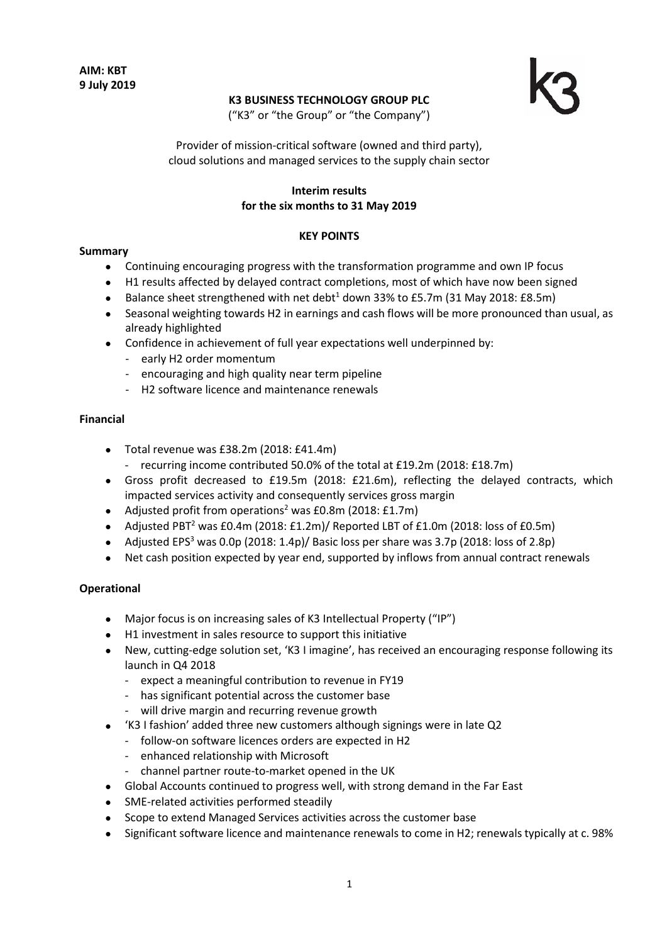# **K3 BUSINESS TECHNOLOGY GROUP PLC**



("K3" or "the Group" or "the Company")

Provider of mission-critical software (owned and third party), cloud solutions and managed services to the supply chain sector

# **Interim results for the six months to 31 May 2019**

### **KEY POINTS**

# **Summary**

- Continuing encouraging progress with the transformation programme and own IP focus
- H1 results affected by delayed contract completions, most of which have now been signed
- Balance sheet strengthened with net debt<sup>1</sup> down 33% to £5.7m (31 May 2018: £8.5m)
- Seasonal weighting towards H2 in earnings and cash flows will be more pronounced than usual, as already highlighted
- Confidence in achievement of full year expectations well underpinned by:
	- early H2 order momentum
	- encouraging and high quality near term pipeline
	- H2 software licence and maintenance renewals

#### **Financial**

- Total revenue was £38.2m (2018: £41.4m)
	- recurring income contributed 50.0% of the total at £19.2m (2018: £18.7m)
- Gross profit decreased to £19.5m (2018: £21.6m), reflecting the delayed contracts, which impacted services activity and consequently services gross margin
- Adjusted profit from operations<sup>2</sup> was  $E0.8$ m (2018: £1.7m)
- Adjusted PBT<sup>2</sup> was £0.4m (2018: £1.2m)/ Reported LBT of £1.0m (2018: loss of £0.5m)
- Adjusted EPS<sup>3</sup> was 0.0p (2018: 1.4p)/ Basic loss per share was 3.7p (2018: loss of 2.8p)
- Net cash position expected by year end, supported by inflows from annual contract renewals

#### **Operational**

- Major focus is on increasing sales of K3 Intellectual Property ("IP")
- H1 investment in sales resource to support this initiative
- New, cutting-edge solution set, 'K3 I imagine', has received an encouraging response following its launch in Q4 2018
	- expect a meaningful contribution to revenue in FY19
	- has significant potential across the customer base
	- will drive margin and recurring revenue growth
- 'K3 I fashion' added three new customers although signings were in late Q2
	- follow-on software licences orders are expected in H2
	- enhanced relationship with Microsoft
	- channel partner route-to-market opened in the UK
- Global Accounts continued to progress well, with strong demand in the Far East
- SME-related activities performed steadily
- Scope to extend Managed Services activities across the customer base
- Significant software licence and maintenance renewals to come in H2; renewals typically at c. 98%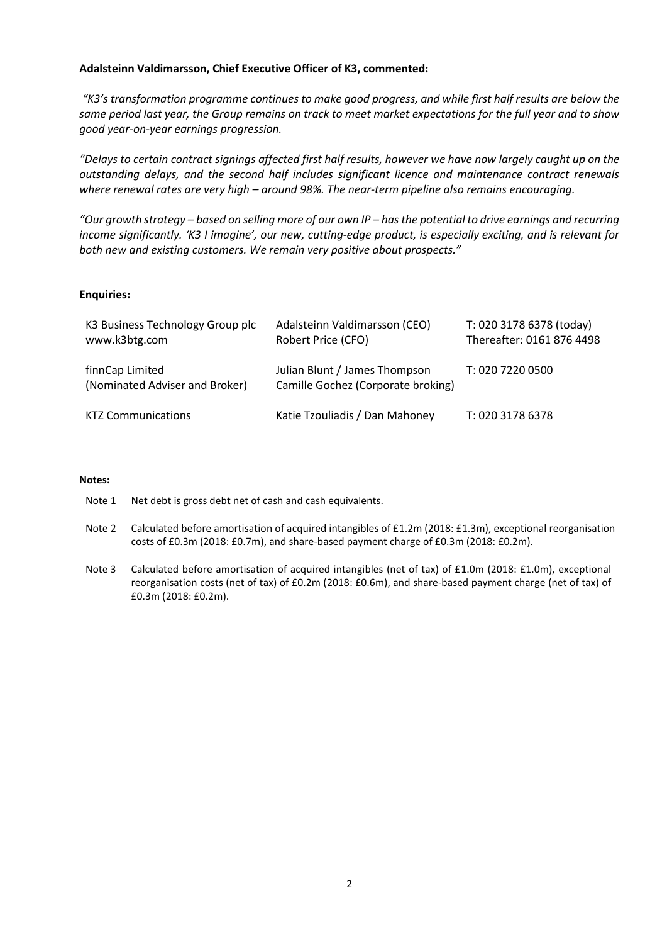#### **Adalsteinn Valdimarsson, Chief Executive Officer of K3, commented:**

*"K3's transformation programme continues to make good progress, and while first half results are below the same period last year, the Group remains on track to meet market expectations for the full year and to show good year-on-year earnings progression.* 

*"Delays to certain contract signings affected first half results, however we have now largely caught up on the outstanding delays, and the second half includes significant licence and maintenance contract renewals where renewal rates are very high – around 98%. The near-term pipeline also remains encouraging.*

*"Our growth strategy – based on selling more of our own IP – has the potential to drive earnings and recurring income significantly. 'K3 I imagine', our new, cutting-edge product, is especially exciting, and is relevant for both new and existing customers. We remain very positive about prospects."* 

#### **Enquiries:**

| K3 Business Technology Group plc<br>www.k3btg.com | Adalsteinn Valdimarsson (CEO)<br>Robert Price (CFO)                 | T: 020 3178 6378 (today)<br>Thereafter: 0161 876 4498 |
|---------------------------------------------------|---------------------------------------------------------------------|-------------------------------------------------------|
| finnCap Limited<br>(Nominated Adviser and Broker) | Julian Blunt / James Thompson<br>Camille Gochez (Corporate broking) | T: 020 7220 0500                                      |
| <b>KTZ Communications</b>                         | Katie Tzouliadis / Dan Mahoney                                      | T: 020 3178 6378                                      |

#### **Notes:**

Note 1 Net debt is gross debt net of cash and cash equivalents.

- Note 2 Calculated before amortisation of acquired intangibles of £1.2m (2018: £1.3m), exceptional reorganisation costs of £0.3m (2018: £0.7m), and share-based payment charge of £0.3m (2018: £0.2m).
- Note 3 Calculated before amortisation of acquired intangibles (net of tax) of £1.0m (2018: £1.0m), exceptional reorganisation costs (net of tax) of £0.2m (2018: £0.6m), and share-based payment charge (net of tax) of £0.3m (2018: £0.2m).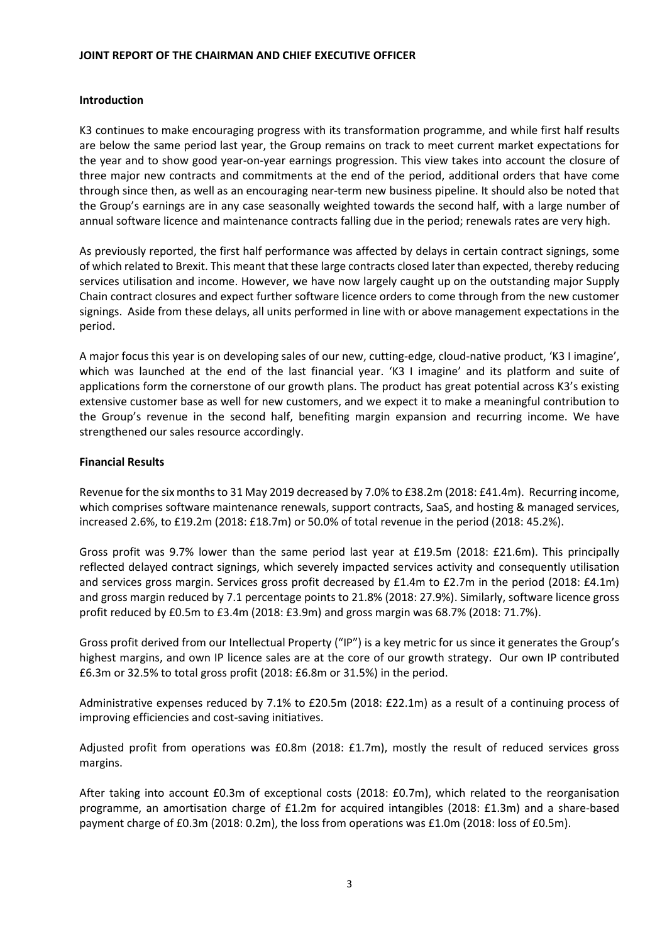#### **JOINT REPORT OF THE CHAIRMAN AND CHIEF EXECUTIVE OFFICER**

## **Introduction**

K3 continues to make encouraging progress with its transformation programme, and while first half results are below the same period last year, the Group remains on track to meet current market expectations for the year and to show good year-on-year earnings progression. This view takes into account the closure of three major new contracts and commitments at the end of the period, additional orders that have come through since then, as well as an encouraging near-term new business pipeline. It should also be noted that the Group's earnings are in any case seasonally weighted towards the second half, with a large number of annual software licence and maintenance contracts falling due in the period; renewals rates are very high.

As previously reported, the first half performance was affected by delays in certain contract signings, some of which related to Brexit. This meant that these large contracts closed later than expected, thereby reducing services utilisation and income. However, we have now largely caught up on the outstanding major Supply Chain contract closures and expect further software licence orders to come through from the new customer signings. Aside from these delays, all units performed in line with or above management expectations in the period.

A major focus this year is on developing sales of our new, cutting-edge, cloud-native product, 'K3 I imagine', which was launched at the end of the last financial year. 'K3 I imagine' and its platform and suite of applications form the cornerstone of our growth plans. The product has great potential across K3's existing extensive customer base as well for new customers, and we expect it to make a meaningful contribution to the Group's revenue in the second half, benefiting margin expansion and recurring income. We have strengthened our sales resource accordingly.

# **Financial Results**

Revenue for the six months to 31 May 2019 decreased by 7.0% to £38.2m (2018: £41.4m). Recurring income, which comprises software maintenance renewals, support contracts, SaaS, and hosting & managed services, increased 2.6%, to £19.2m (2018: £18.7m) or 50.0% of total revenue in the period (2018: 45.2%).

Gross profit was 9.7% lower than the same period last year at £19.5m (2018: £21.6m). This principally reflected delayed contract signings, which severely impacted services activity and consequently utilisation and services gross margin. Services gross profit decreased by £1.4m to £2.7m in the period (2018: £4.1m) and gross margin reduced by 7.1 percentage points to 21.8% (2018: 27.9%). Similarly, software licence gross profit reduced by £0.5m to £3.4m (2018: £3.9m) and gross margin was 68.7% (2018: 71.7%).

Gross profit derived from our Intellectual Property ("IP") is a key metric for us since it generates the Group's highest margins, and own IP licence sales are at the core of our growth strategy. Our own IP contributed £6.3m or 32.5% to total gross profit (2018: £6.8m or 31.5%) in the period.

Administrative expenses reduced by 7.1% to £20.5m (2018: £22.1m) as a result of a continuing process of improving efficiencies and cost-saving initiatives.

Adjusted profit from operations was £0.8m (2018: £1.7m), mostly the result of reduced services gross margins.

After taking into account £0.3m of exceptional costs (2018: £0.7m), which related to the reorganisation programme, an amortisation charge of £1.2m for acquired intangibles (2018: £1.3m) and a share-based payment charge of £0.3m (2018: 0.2m), the loss from operations was £1.0m (2018: loss of £0.5m).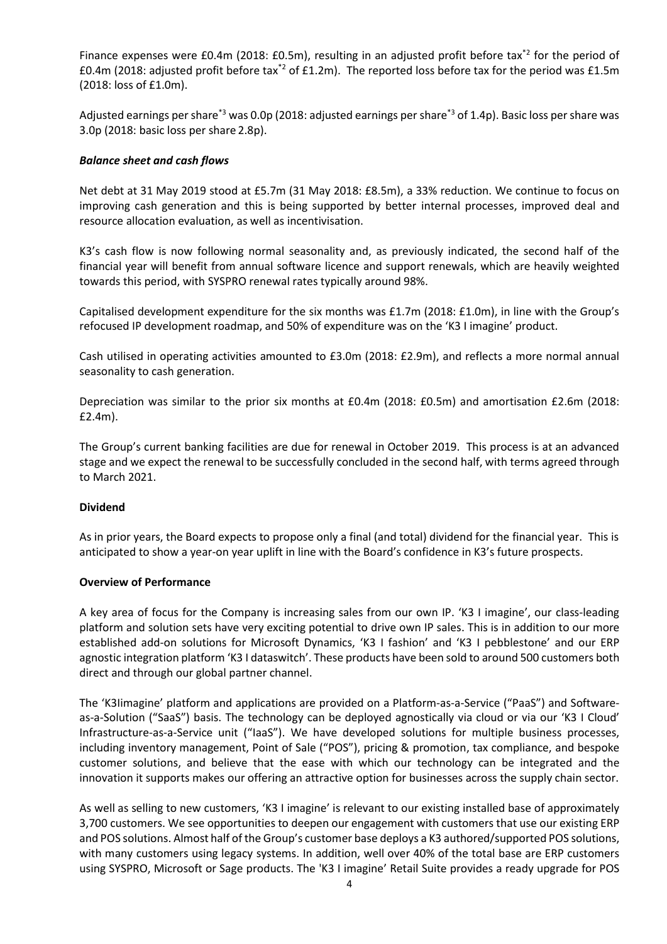Finance expenses were £0.4m (2018: £0.5m), resulting in an adjusted profit before tax<sup>\*2</sup> for the period of £0.4m (2018: adjusted profit before tax\*2 of £1.2m). The reported loss before tax for the period was £1.5m (2018: loss of £1.0m).

Adjusted earnings per share\*3 was 0.0p (2018: adjusted earnings per share\*3 of 1.4p). Basic loss per share was 3.0p (2018: basic loss per share 2.8p).

#### *Balance sheet and cash flows*

Net debt at 31 May 2019 stood at £5.7m (31 May 2018: £8.5m), a 33% reduction. We continue to focus on improving cash generation and this is being supported by better internal processes, improved deal and resource allocation evaluation, as well as incentivisation.

K3's cash flow is now following normal seasonality and, as previously indicated, the second half of the financial year will benefit from annual software licence and support renewals, which are heavily weighted towards this period, with SYSPRO renewal rates typically around 98%.

Capitalised development expenditure for the six months was £1.7m (2018: £1.0m), in line with the Group's refocused IP development roadmap, and 50% of expenditure was on the 'K3 I imagine' product.

Cash utilised in operating activities amounted to £3.0m (2018: £2.9m), and reflects a more normal annual seasonality to cash generation.

Depreciation was similar to the prior six months at £0.4m (2018: £0.5m) and amortisation £2.6m (2018: £2.4m).

The Group's current banking facilities are due for renewal in October 2019. This process is at an advanced stage and we expect the renewal to be successfully concluded in the second half, with terms agreed through to March 2021.

#### **Dividend**

As in prior years, the Board expects to propose only a final (and total) dividend for the financial year. This is anticipated to show a year-on year uplift in line with the Board's confidence in K3's future prospects.

#### **Overview of Performance**

A key area of focus for the Company is increasing sales from our own IP. 'K3 I imagine', our class-leading platform and solution sets have very exciting potential to drive own IP sales. This is in addition to our more established add-on solutions for Microsoft Dynamics, 'K3 I fashion' and 'K3 I pebblestone' and our ERP agnostic integration platform 'K3 I dataswitch'. These products have been sold to around 500 customers both direct and through our global partner channel.

The 'K3Iimagine' platform and applications are provided on a Platform-as-a-Service ("PaaS") and Softwareas-a-Solution ("SaaS") basis. The technology can be deployed agnostically via cloud or via our 'K3 I Cloud' Infrastructure-as-a-Service unit ("IaaS"). We have developed solutions for multiple business processes, including inventory management, Point of Sale ("POS"), pricing & promotion, tax compliance, and bespoke customer solutions, and believe that the ease with which our technology can be integrated and the innovation it supports makes our offering an attractive option for businesses across the supply chain sector.

As well as selling to new customers, 'K3 I imagine' is relevant to our existing installed base of approximately 3,700 customers. We see opportunities to deepen our engagement with customers that use our existing ERP and POS solutions. Almost half of the Group's customer base deploys a K3 authored/supported POS solutions, with many customers using legacy systems. In addition, well over 40% of the total base are ERP customers using SYSPRO, Microsoft or Sage products. The 'K3 I imagine' Retail Suite provides a ready upgrade for POS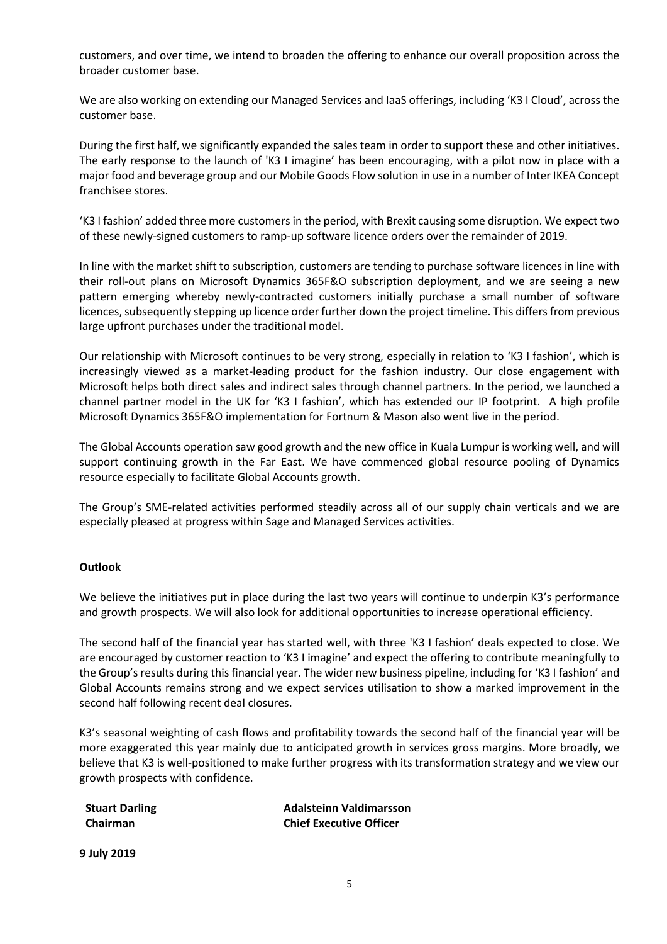customers, and over time, we intend to broaden the offering to enhance our overall proposition across the broader customer base.

We are also working on extending our Managed Services and IaaS offerings, including 'K3 I Cloud', across the customer base.

During the first half, we significantly expanded the sales team in order to support these and other initiatives. The early response to the launch of 'K3 I imagine' has been encouraging, with a pilot now in place with a major food and beverage group and our Mobile Goods Flow solution in use in a number of Inter IKEA Concept franchisee stores.

'K3 I fashion' added three more customers in the period, with Brexit causing some disruption. We expect two of these newly-signed customers to ramp-up software licence orders over the remainder of 2019.

In line with the market shift to subscription, customers are tending to purchase software licences in line with their roll-out plans on Microsoft Dynamics 365F&O subscription deployment, and we are seeing a new pattern emerging whereby newly-contracted customers initially purchase a small number of software licences, subsequently stepping up licence order further down the project timeline. This differs from previous large upfront purchases under the traditional model.

Our relationship with Microsoft continues to be very strong, especially in relation to 'K3 I fashion', which is increasingly viewed as a market-leading product for the fashion industry. Our close engagement with Microsoft helps both direct sales and indirect sales through channel partners. In the period, we launched a channel partner model in the UK for 'K3 I fashion', which has extended our IP footprint. A high profile Microsoft Dynamics 365F&O implementation for Fortnum & Mason also went live in the period.

The Global Accounts operation saw good growth and the new office in Kuala Lumpur is working well, and will support continuing growth in the Far East. We have commenced global resource pooling of Dynamics resource especially to facilitate Global Accounts growth.

The Group's SME-related activities performed steadily across all of our supply chain verticals and we are especially pleased at progress within Sage and Managed Services activities.

#### **Outlook**

We believe the initiatives put in place during the last two years will continue to underpin K3's performance and growth prospects. We will also look for additional opportunities to increase operational efficiency.

The second half of the financial year has started well, with three 'K3 I fashion' deals expected to close. We are encouraged by customer reaction to 'K3 I imagine' and expect the offering to contribute meaningfully to the Group's results during this financial year. The wider new business pipeline, including for 'K3 I fashion' and Global Accounts remains strong and we expect services utilisation to show a marked improvement in the second half following recent deal closures.

K3's seasonal weighting of cash flows and profitability towards the second half of the financial year will be more exaggerated this year mainly due to anticipated growth in services gross margins. More broadly, we believe that K3 is well-positioned to make further progress with its transformation strategy and we view our growth prospects with confidence.

| <b>Stuart Darling</b> | <b>Adalsteinn Valdimarsson</b> |
|-----------------------|--------------------------------|
| Chairman              | <b>Chief Executive Officer</b> |

**9 July 2019**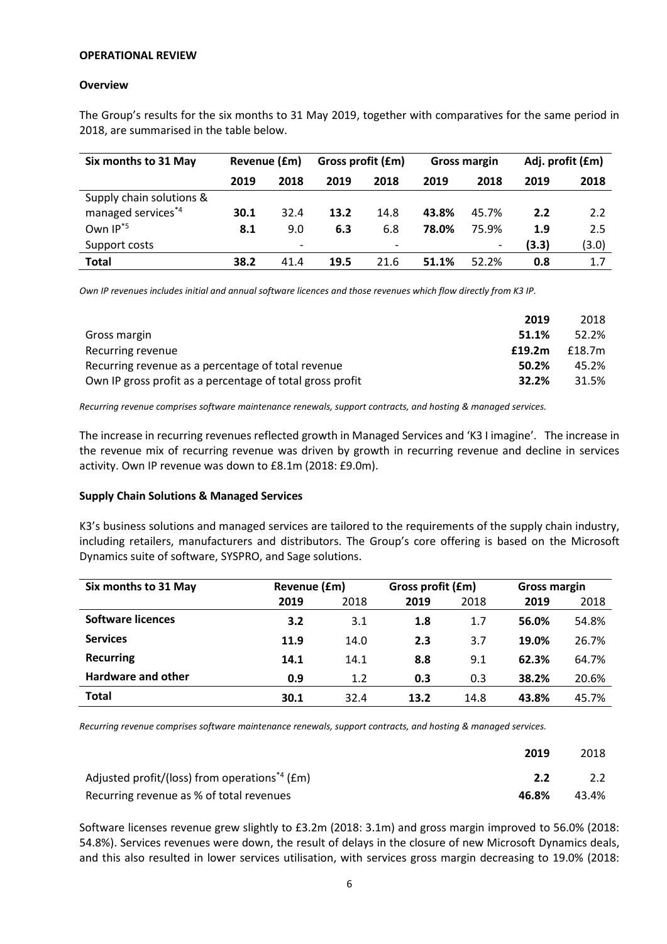#### **OPERATIONAL REVIEW**

#### **Overview**

The Group's results for the six months to 31 May 2019, together with comparatives for the same period in 2018, are summarised in the table below.

| Six months to 31 May     |      | Revenue (£m)             |      | Gross profit (£m)        |       | Gross margin |       |       | Adj. profit (£m) |
|--------------------------|------|--------------------------|------|--------------------------|-------|--------------|-------|-------|------------------|
|                          | 2019 | 2018                     | 2019 | 2018                     | 2019  | 2018         | 2019  | 2018  |                  |
| Supply chain solutions & |      |                          |      |                          |       |              |       |       |                  |
| managed services*4       | 30.1 | 32.4                     | 13.2 | 14.8                     | 43.8% | 45.7%        | 2.2   | 2.2   |                  |
| Own IP <sup>*5</sup>     | 8.1  | 9.0                      | 6.3  | 6.8                      | 78.0% | 75.9%        | 1.9   | 2.5   |                  |
| Support costs            |      | $\overline{\phantom{0}}$ |      | $\overline{\phantom{a}}$ |       | -            | (3.3) | (3.0) |                  |
| Total                    | 38.2 | 41.4                     | 19.5 | 21.6                     | 51.1% | 52.2%        | 0.8   | 1.7   |                  |

*Own IP revenues includes initial and annual software licences and those revenues which flow directly from K3 IP.*

| 2019                                                               | 2018   |
|--------------------------------------------------------------------|--------|
| 51.1%<br>Gross margin                                              | 52.2%  |
| Recurring revenue<br>£19.2m                                        | f18.7m |
| Recurring revenue as a percentage of total revenue<br>50.2%        | 45.2%  |
| 32.2%<br>Own IP gross profit as a percentage of total gross profit | 31.5%  |

*Recurring revenue comprises software maintenance renewals, support contracts, and hosting & managed services.*

The increase in recurring revenues reflected growth in Managed Services and 'K3 I imagine'. The increase in the revenue mix of recurring revenue was driven by growth in recurring revenue and decline in services activity. Own IP revenue was down to £8.1m (2018: £9.0m).

#### **Supply Chain Solutions & Managed Services**

K3's business solutions and managed services are tailored to the requirements of the supply chain industry, including retailers, manufacturers and distributors. The Group's core offering is based on the Microsoft Dynamics suite of software, SYSPRO, and Sage solutions.

| Six months to 31 May     | Revenue (£m) |      | Gross profit (£m) |      | <b>Gross margin</b> |       |  |
|--------------------------|--------------|------|-------------------|------|---------------------|-------|--|
|                          | 2019         | 2018 | 2019              | 2018 | 2019                | 2018  |  |
| <b>Software licences</b> | 3.2          | 3.1  | 1.8               | 1.7  | 56.0%               | 54.8% |  |
| <b>Services</b>          | 11.9         | 14.0 | 2.3               | 3.7  | 19.0%               | 26.7% |  |
| <b>Recurring</b>         | 14.1         | 14.1 | 8.8               | 9.1  | 62.3%               | 64.7% |  |
| Hardware and other       | 0.9          | 1.2  | 0.3               | 0.3  | 38.2%               | 20.6% |  |
| <b>Total</b>             | 30.1         | 32.4 | 13.2              | 14.8 | 43.8%               | 45.7% |  |

*Recurring revenue comprises software maintenance renewals, support contracts, and hosting & managed services.*

|                                                           | 2019  | 2018  |
|-----------------------------------------------------------|-------|-------|
| Adjusted profit/(loss) from operations <sup>*4</sup> (£m) | 2.2   | 2.2   |
| Recurring revenue as % of total revenues                  | 46.8% | 43.4% |

Software licenses revenue grew slightly to £3.2m (2018: 3.1m) and gross margin improved to 56.0% (2018: 54.8%). Services revenues were down, the result of delays in the closure of new Microsoft Dynamics deals, and this also resulted in lower services utilisation, with services gross margin decreasing to 19.0% (2018: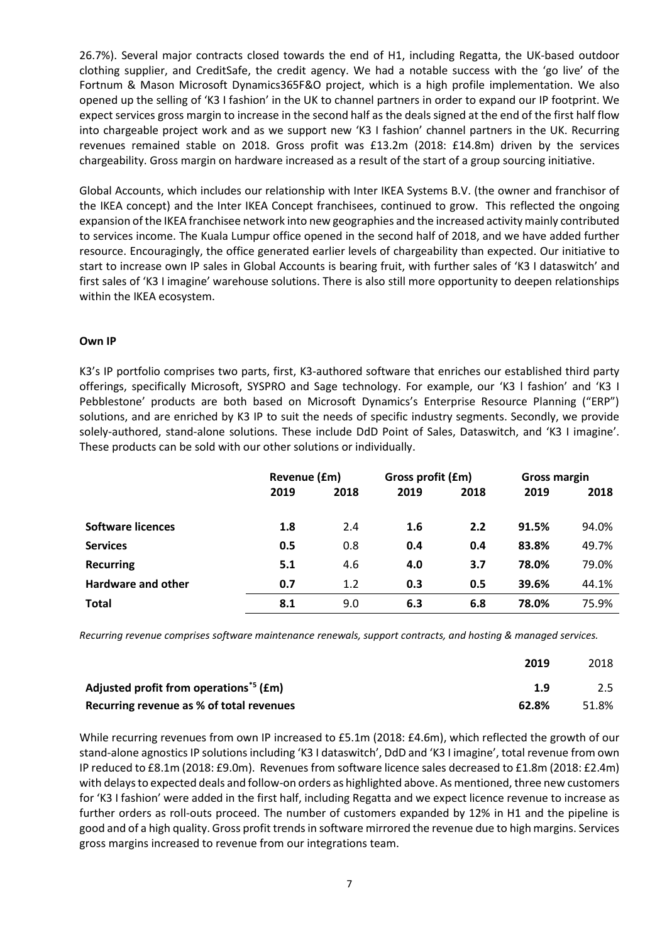26.7%). Several major contracts closed towards the end of H1, including Regatta, the UK-based outdoor clothing supplier, and CreditSafe, the credit agency. We had a notable success with the 'go live' of the Fortnum & Mason Microsoft Dynamics365F&O project, which is a high profile implementation. We also opened up the selling of 'K3 I fashion' in the UK to channel partners in order to expand our IP footprint. We expect services gross margin to increase in the second half as the deals signed at the end of the first half flow into chargeable project work and as we support new 'K3 I fashion' channel partners in the UK. Recurring revenues remained stable on 2018. Gross profit was £13.2m (2018: £14.8m) driven by the services chargeability. Gross margin on hardware increased as a result of the start of a group sourcing initiative.

Global Accounts, which includes our relationship with Inter IKEA Systems B.V. (the owner and franchisor of the IKEA concept) and the Inter IKEA Concept franchisees, continued to grow. This reflected the ongoing expansion of the IKEA franchisee network into new geographies and the increased activity mainly contributed to services income. The Kuala Lumpur office opened in the second half of 2018, and we have added further resource. Encouragingly, the office generated earlier levels of chargeability than expected. Our initiative to start to increase own IP sales in Global Accounts is bearing fruit, with further sales of 'K3 I dataswitch' and first sales of 'K3 I imagine' warehouse solutions. There is also still more opportunity to deepen relationships within the IKEA ecosystem.

#### **Own IP**

K3's IP portfolio comprises two parts, first, K3-authored software that enriches our established third party offerings, specifically Microsoft, SYSPRO and Sage technology. For example, our 'K3 l fashion' and 'K3 I Pebblestone' products are both based on Microsoft Dynamics's Enterprise Resource Planning ("ERP") solutions, and are enriched by K3 IP to suit the needs of specific industry segments. Secondly, we provide solely-authored, stand-alone solutions. These include DdD Point of Sales, Dataswitch, and 'K3 I imagine'. These products can be sold with our other solutions or individually.

|                           | Revenue (£m) |      | Gross profit (£m) |      | Gross margin |       |
|---------------------------|--------------|------|-------------------|------|--------------|-------|
|                           | 2019         | 2018 | 2019              | 2018 | 2019         | 2018  |
|                           |              |      |                   |      |              |       |
| <b>Software licences</b>  | 1.8          | 2.4  | 1.6               | 2.2  | 91.5%        | 94.0% |
| <b>Services</b>           | 0.5          | 0.8  | 0.4               | 0.4  | 83.8%        | 49.7% |
| <b>Recurring</b>          | 5.1          | 4.6  | 4.0               | 3.7  | 78.0%        | 79.0% |
| <b>Hardware and other</b> | 0.7          | 1.2  | 0.3               | 0.5  | 39.6%        | 44.1% |
| <b>Total</b>              | 8.1          | 9.0  | 6.3               | 6.8  | 78.0%        | 75.9% |

*Recurring revenue comprises software maintenance renewals, support contracts, and hosting & managed services.*

|                                                                | 2019  | 2018  |
|----------------------------------------------------------------|-------|-------|
| Adjusted profit from operations <sup><math>5</math></sup> (£m) | 1.9   | 2.5   |
| Recurring revenue as % of total revenues                       | 62.8% | 51.8% |

While recurring revenues from own IP increased to £5.1m (2018: £4.6m), which reflected the growth of our stand-alone agnostics IP solutions including 'K3 I dataswitch', DdD and 'K3 I imagine', total revenue from own IP reduced to £8.1m (2018: £9.0m). Revenues from software licence sales decreased to £1.8m (2018: £2.4m) with delays to expected deals and follow-on orders as highlighted above. As mentioned, three new customers for 'K3 I fashion' were added in the first half, including Regatta and we expect licence revenue to increase as further orders as roll-outs proceed. The number of customers expanded by 12% in H1 and the pipeline is good and of a high quality. Gross profit trends in software mirrored the revenue due to high margins. Services gross margins increased to revenue from our integrations team.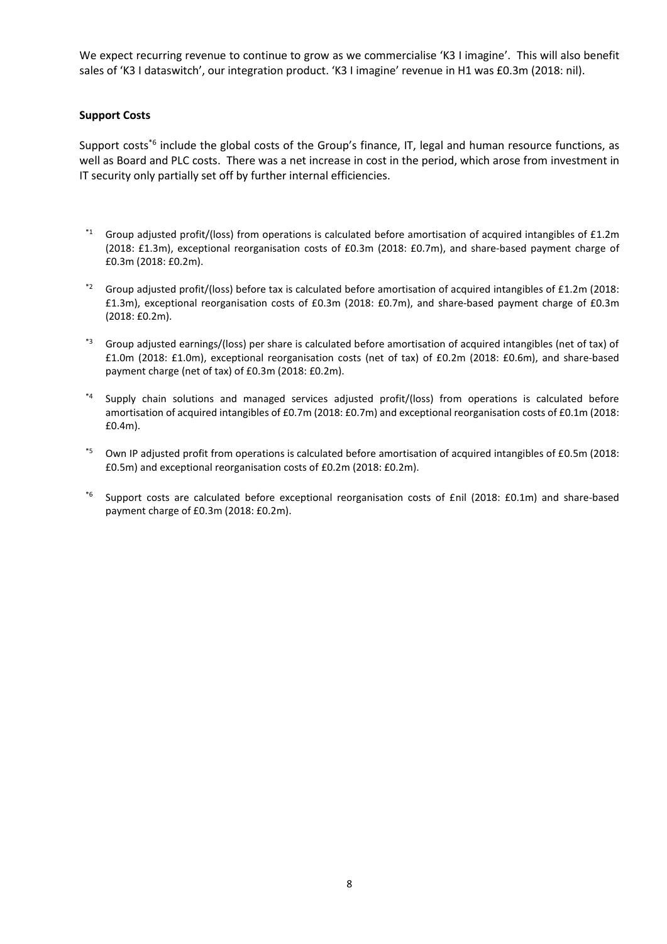We expect recurring revenue to continue to grow as we commercialise 'K3 I imagine'. This will also benefit sales of 'K3 I dataswitch', our integration product. 'K3 I imagine' revenue in H1 was £0.3m (2018: nil).

### **Support Costs**

Support costs<sup>\*6</sup> include the global costs of the Group's finance, IT, legal and human resource functions, as well as Board and PLC costs. There was a net increase in cost in the period, which arose from investment in IT security only partially set off by further internal efficiencies.

- Group adjusted profit/(loss) from operations is calculated before amortisation of acquired intangibles of £1.2m (2018: £1.3m), exceptional reorganisation costs of £0.3m (2018: £0.7m), and share-based payment charge of £0.3m (2018: £0.2m).
- \*2 Group adjusted profit/(loss) before tax is calculated before amortisation of acquired intangibles of £1.2m (2018: £1.3m), exceptional reorganisation costs of £0.3m (2018: £0.7m), and share-based payment charge of £0.3m (2018: £0.2m).
- \*3 Group adjusted earnings/(loss) per share is calculated before amortisation of acquired intangibles (net of tax) of £1.0m (2018: £1.0m), exceptional reorganisation costs (net of tax) of £0.2m (2018: £0.6m), and share-based payment charge (net of tax) of £0.3m (2018: £0.2m).
- Supply chain solutions and managed services adjusted profit/(loss) from operations is calculated before amortisation of acquired intangibles of £0.7m (2018: £0.7m) and exceptional reorganisation costs of £0.1m (2018: £0.4m).
- \*5 Own IP adjusted profit from operations is calculated before amortisation of acquired intangibles of £0.5m (2018: £0.5m) and exceptional reorganisation costs of £0.2m (2018: £0.2m).
- \*6 Support costs are calculated before exceptional reorganisation costs of £nil (2018: £0.1m) and share-based payment charge of £0.3m (2018: £0.2m).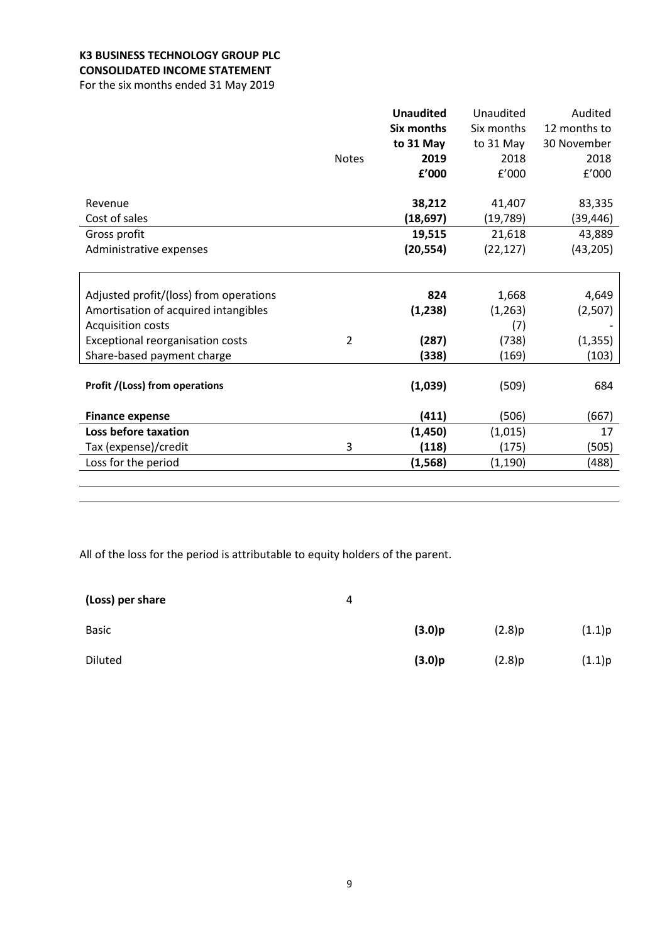# **K3 BUSINESS TECHNOLOGY GROUP PLC CONSOLIDATED INCOME STATEMENT**

For the six months ended 31 May 2019

|                                         |                | <b>Unaudited</b>  | Unaudited  | Audited      |
|-----------------------------------------|----------------|-------------------|------------|--------------|
|                                         |                | <b>Six months</b> | Six months | 12 months to |
|                                         |                | to 31 May         | to 31 May  | 30 November  |
|                                         | <b>Notes</b>   | 2019              | 2018       | 2018         |
|                                         |                | £'000             | f'000      | f'000        |
|                                         |                |                   |            |              |
| Revenue                                 |                | 38,212            | 41,407     | 83,335       |
| Cost of sales                           |                | (18, 697)         | (19, 789)  | (39, 446)    |
| Gross profit                            |                | 19,515            | 21,618     | 43,889       |
| Administrative expenses                 |                | (20, 554)         | (22, 127)  | (43, 205)    |
|                                         |                |                   |            |              |
|                                         |                |                   |            |              |
| Adjusted profit/(loss) from operations  |                | 824               | 1,668      | 4,649        |
| Amortisation of acquired intangibles    |                | (1, 238)          | (1,263)    | (2,507)      |
| <b>Acquisition costs</b>                |                |                   | (7)        |              |
| <b>Exceptional reorganisation costs</b> | $\overline{2}$ | (287)             | (738)      | (1, 355)     |
| Share-based payment charge              |                | (338)             | (169)      | (103)        |
|                                         |                |                   |            |              |
| Profit /(Loss) from operations          |                | (1,039)           | (509)      | 684          |
|                                         |                |                   |            |              |
| <b>Finance expense</b>                  |                | (411)             | (506)      | (667)        |
| Loss before taxation                    |                | (1,450)           | (1,015)    | 17           |
| Tax (expense)/credit                    | 3              | (118)             | (175)      | (505)        |
| Loss for the period                     |                | (1, 568)          | (1, 190)   | (488)        |
|                                         |                |                   |            |              |

All of the loss for the period is attributable to equity holders of the parent.

| (Loss) per share | 4 |        |        |        |
|------------------|---|--------|--------|--------|
| <b>Basic</b>     |   | (3.0)p | (2.8)p | (1.1)p |
| Diluted          |   | (3.0)p | (2.8)p | (1.1)p |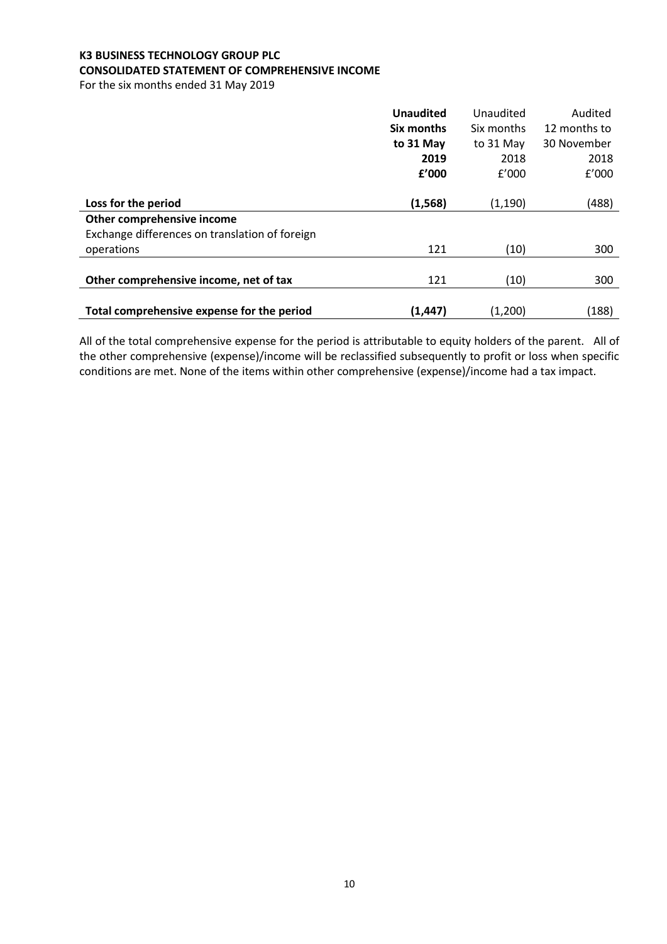# **K3 BUSINESS TECHNOLOGY GROUP PLC CONSOLIDATED STATEMENT OF COMPREHENSIVE INCOME**

For the six months ended 31 May 2019

|                                                | <b>Unaudited</b> | Unaudited  | Audited      |
|------------------------------------------------|------------------|------------|--------------|
|                                                | Six months       | Six months | 12 months to |
|                                                | to 31 May        | to 31 May  | 30 November  |
|                                                | 2019             | 2018       | 2018         |
|                                                | £'000            | f'000      | f'000        |
|                                                |                  |            |              |
| Loss for the period                            | (1, 568)         | (1, 190)   | (488)        |
| Other comprehensive income                     |                  |            |              |
| Exchange differences on translation of foreign |                  |            |              |
| operations                                     | 121              | (10)       | 300          |
|                                                |                  |            |              |
| Other comprehensive income, net of tax         | 121              | (10)       | 300          |
|                                                |                  |            |              |
| Total comprehensive expense for the period     | (1, 447)         | (1,200)    | (188)        |

All of the total comprehensive expense for the period is attributable to equity holders of the parent. All of the other comprehensive (expense)/income will be reclassified subsequently to profit or loss when specific conditions are met. None of the items within other comprehensive (expense)/income had a tax impact.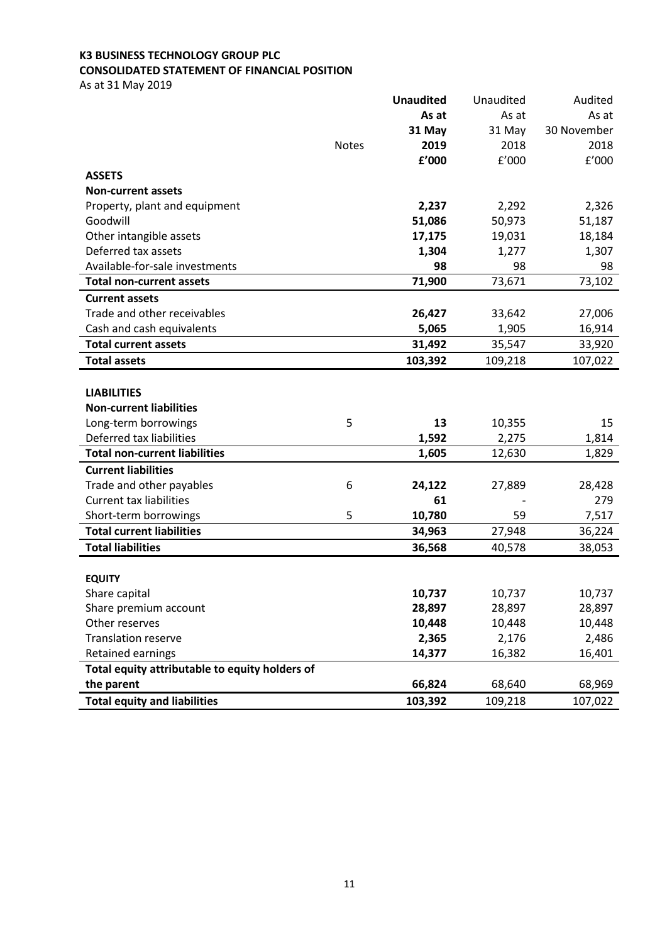# **K3 BUSINESS TECHNOLOGY GROUP PLC CONSOLIDATED STATEMENT OF FINANCIAL POSITION**

As at 31 May 2019

|                                                |              | <b>Unaudited</b> | Unaudited | Audited     |
|------------------------------------------------|--------------|------------------|-----------|-------------|
|                                                |              | As at            | As at     | As at       |
|                                                |              | 31 May           | 31 May    | 30 November |
|                                                | <b>Notes</b> | 2019             | 2018      | 2018        |
|                                                |              | £'000            | f'000     | E'000       |
| <b>ASSETS</b>                                  |              |                  |           |             |
| <b>Non-current assets</b>                      |              |                  |           |             |
| Property, plant and equipment                  |              | 2,237            | 2,292     | 2,326       |
| Goodwill                                       |              | 51,086           | 50,973    | 51,187      |
| Other intangible assets                        |              | 17,175           | 19,031    | 18,184      |
| Deferred tax assets                            |              | 1,304            | 1,277     | 1,307       |
| Available-for-sale investments                 |              | 98               | 98        | 98          |
| <b>Total non-current assets</b>                |              | 71,900           | 73,671    | 73,102      |
| <b>Current assets</b>                          |              |                  |           |             |
| Trade and other receivables                    |              | 26,427           | 33,642    | 27,006      |
| Cash and cash equivalents                      |              | 5,065            | 1,905     | 16,914      |
| <b>Total current assets</b>                    |              | 31,492           | 35,547    | 33,920      |
| <b>Total assets</b>                            |              | 103,392          | 109,218   | 107,022     |
|                                                |              |                  |           |             |
| <b>LIABILITIES</b>                             |              |                  |           |             |
| <b>Non-current liabilities</b>                 |              |                  |           |             |
| Long-term borrowings                           | 5            | 13               | 10,355    | 15          |
| Deferred tax liabilities                       |              | 1,592            | 2,275     | 1,814       |
| <b>Total non-current liabilities</b>           |              | 1,605            | 12,630    | 1,829       |
| <b>Current liabilities</b>                     |              |                  |           |             |
| Trade and other payables                       | 6            | 24,122           | 27,889    | 28,428      |
| <b>Current tax liabilities</b>                 |              | 61               |           | 279         |
| Short-term borrowings                          | 5            | 10,780           | 59        | 7,517       |
| <b>Total current liabilities</b>               |              | 34,963           | 27,948    | 36,224      |
| <b>Total liabilities</b>                       |              | 36,568           | 40,578    | 38,053      |
|                                                |              |                  |           |             |
| <b>EQUITY</b>                                  |              |                  |           |             |
| Share capital                                  |              | 10,737           | 10,737    | 10,737      |
| Share premium account                          |              | 28,897           | 28,897    | 28,897      |
| Other reserves                                 |              | 10,448           | 10,448    | 10,448      |
| <b>Translation reserve</b>                     |              | 2,365            | 2,176     | 2,486       |
| Retained earnings                              |              | 14,377           | 16,382    | 16,401      |
| Total equity attributable to equity holders of |              |                  |           |             |
| the parent                                     |              | 66,824           | 68,640    | 68,969      |
| <b>Total equity and liabilities</b>            |              | 103,392          | 109,218   | 107,022     |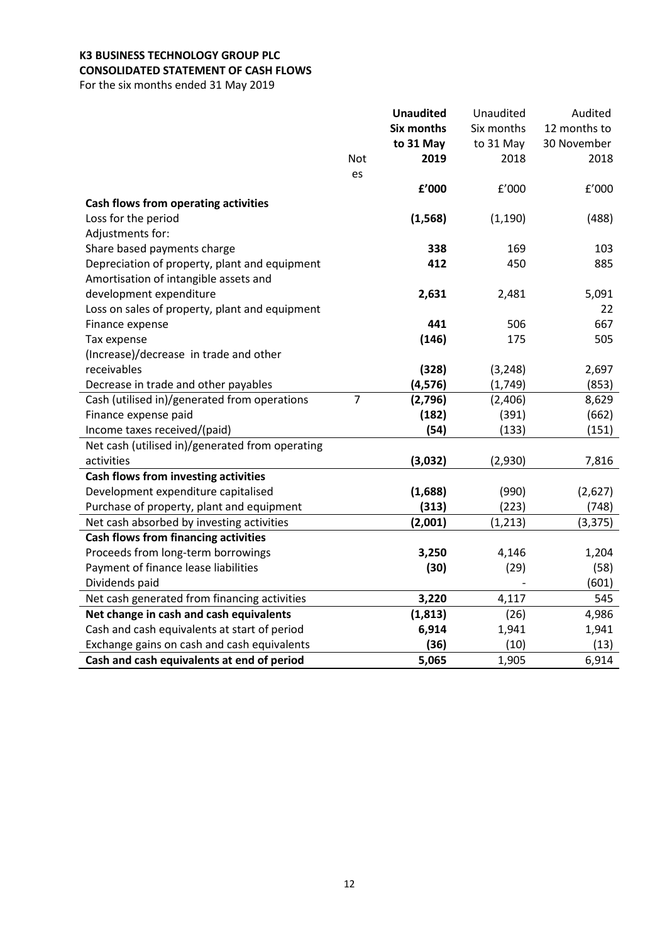# **K3 BUSINESS TECHNOLOGY GROUP PLC CONSOLIDATED STATEMENT OF CASH FLOWS**

For the six months ended 31 May 2019

|                                                 |                | <b>Unaudited</b>  | Unaudited  | Audited      |
|-------------------------------------------------|----------------|-------------------|------------|--------------|
|                                                 |                | <b>Six months</b> | Six months | 12 months to |
|                                                 |                | to 31 May         | to 31 May  | 30 November  |
|                                                 | Not            | 2019              | 2018       | 2018         |
|                                                 | es             |                   |            |              |
|                                                 |                | £'000             | f'000      | f'000        |
| Cash flows from operating activities            |                |                   |            |              |
| Loss for the period                             |                | (1, 568)          | (1, 190)   | (488)        |
| Adjustments for:                                |                |                   |            |              |
| Share based payments charge                     |                | 338               | 169        | 103          |
| Depreciation of property, plant and equipment   |                | 412               | 450        | 885          |
| Amortisation of intangible assets and           |                |                   |            |              |
| development expenditure                         |                | 2,631             | 2,481      | 5,091        |
| Loss on sales of property, plant and equipment  |                |                   |            | 22           |
| Finance expense                                 |                | 441               | 506        | 667          |
| Tax expense                                     |                | (146)             | 175        | 505          |
| (Increase)/decrease in trade and other          |                |                   |            |              |
| receivables                                     |                | (328)             | (3, 248)   | 2,697        |
| Decrease in trade and other payables            |                | (4, 576)          | (1, 749)   | (853)        |
| Cash (utilised in)/generated from operations    | $\overline{7}$ | (2,796)           | (2,406)    | 8,629        |
| Finance expense paid                            |                | (182)             | (391)      | (662)        |
| Income taxes received/(paid)                    |                | (54)              | (133)      | (151)        |
| Net cash (utilised in)/generated from operating |                |                   |            |              |
| activities                                      |                | (3,032)           | (2,930)    | 7,816        |
| Cash flows from investing activities            |                |                   |            |              |
| Development expenditure capitalised             |                | (1,688)           | (990)      | (2,627)      |
| Purchase of property, plant and equipment       |                | (313)             | (223)      | (748)        |
| Net cash absorbed by investing activities       |                | (2,001)           | (1, 213)   | (3, 375)     |
| <b>Cash flows from financing activities</b>     |                |                   |            |              |
| Proceeds from long-term borrowings              |                | 3,250             | 4,146      | 1,204        |
| Payment of finance lease liabilities            |                | (30)              | (29)       | (58)         |
| Dividends paid                                  |                |                   |            | (601)        |
| Net cash generated from financing activities    |                | 3,220             | 4,117      | 545          |
| Net change in cash and cash equivalents         |                | (1, 813)          | (26)       | 4,986        |
| Cash and cash equivalents at start of period    |                | 6,914             | 1,941      | 1,941        |
| Exchange gains on cash and cash equivalents     |                | (36)              | (10)       | (13)         |
| Cash and cash equivalents at end of period      |                | 5,065             | 1,905      | 6,914        |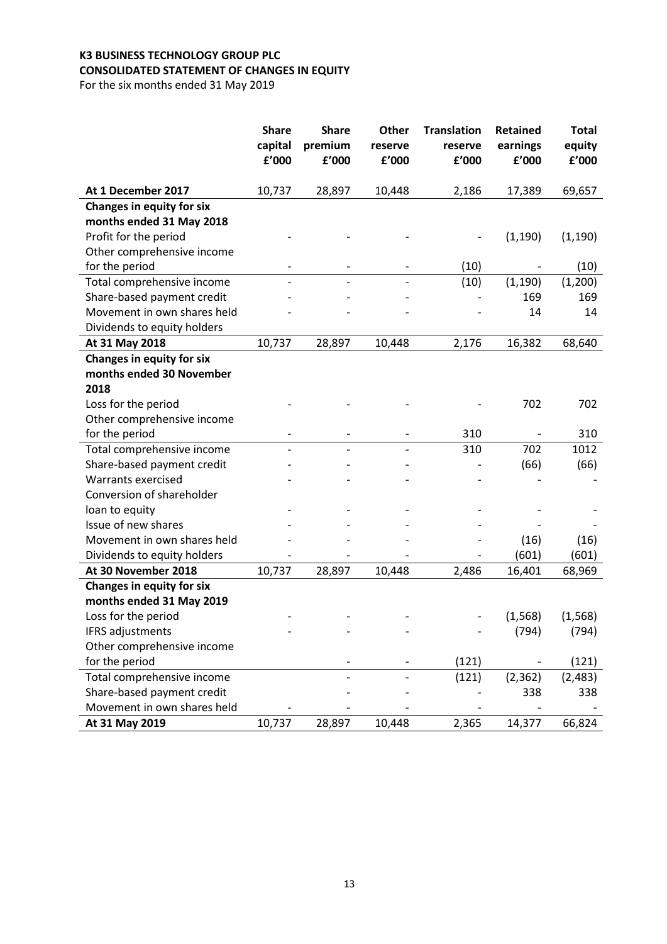# **K3 BUSINESS TECHNOLOGY GROUP PLC CONSOLIDATED STATEMENT OF CHANGES IN EQUITY**

For the six months ended 31 May 2019

|                                                   | <b>Share</b><br>capital<br>£'000 | <b>Share</b><br>premium<br>£'000 | <b>Other</b><br>reserve<br>f'000 | <b>Translation</b><br>reserve<br>£'000 | <b>Retained</b><br>earnings<br>f'000 | <b>Total</b><br>equity<br>f'000 |
|---------------------------------------------------|----------------------------------|----------------------------------|----------------------------------|----------------------------------------|--------------------------------------|---------------------------------|
|                                                   |                                  |                                  |                                  |                                        |                                      |                                 |
| At 1 December 2017                                | 10,737                           | 28,897                           | 10,448                           | 2,186                                  | 17,389                               | 69,657                          |
| <b>Changes in equity for six</b>                  |                                  |                                  |                                  |                                        |                                      |                                 |
| months ended 31 May 2018<br>Profit for the period |                                  |                                  |                                  |                                        |                                      |                                 |
| Other comprehensive income                        |                                  |                                  |                                  |                                        | (1, 190)                             | (1, 190)                        |
| for the period                                    |                                  |                                  |                                  | (10)                                   |                                      | (10)                            |
| Total comprehensive income                        |                                  |                                  |                                  | (10)                                   | (1, 190)                             | (1,200)                         |
| Share-based payment credit                        |                                  |                                  |                                  |                                        | 169                                  | 169                             |
| Movement in own shares held                       |                                  |                                  |                                  |                                        | 14                                   |                                 |
|                                                   |                                  |                                  |                                  |                                        |                                      | 14                              |
| Dividends to equity holders<br>At 31 May 2018     | 10,737                           | 28,897                           | 10,448                           | 2,176                                  |                                      |                                 |
| <b>Changes in equity for six</b>                  |                                  |                                  |                                  |                                        | 16,382                               | 68,640                          |
| months ended 30 November                          |                                  |                                  |                                  |                                        |                                      |                                 |
| 2018                                              |                                  |                                  |                                  |                                        |                                      |                                 |
| Loss for the period                               |                                  |                                  |                                  |                                        | 702                                  | 702                             |
| Other comprehensive income                        |                                  |                                  |                                  |                                        |                                      |                                 |
| for the period                                    |                                  |                                  |                                  | 310                                    |                                      | 310                             |
| Total comprehensive income                        |                                  |                                  |                                  | 310                                    | 702                                  | 1012                            |
| Share-based payment credit                        |                                  |                                  |                                  |                                        | (66)                                 | (66)                            |
| Warrants exercised                                |                                  |                                  |                                  |                                        |                                      |                                 |
| Conversion of shareholder                         |                                  |                                  |                                  |                                        |                                      |                                 |
| loan to equity                                    |                                  |                                  |                                  |                                        |                                      |                                 |
| Issue of new shares                               |                                  |                                  |                                  |                                        |                                      |                                 |
| Movement in own shares held                       |                                  |                                  |                                  |                                        | (16)                                 | (16)                            |
| Dividends to equity holders                       |                                  |                                  |                                  |                                        | (601)                                | (601)                           |
| At 30 November 2018                               | 10,737                           | 28,897                           | 10,448                           | 2,486                                  | 16,401                               | 68,969                          |
| Changes in equity for six                         |                                  |                                  |                                  |                                        |                                      |                                 |
| months ended 31 May 2019                          |                                  |                                  |                                  |                                        |                                      |                                 |
| Loss for the period                               |                                  |                                  |                                  |                                        | (1, 568)                             | (1, 568)                        |
| IFRS adjustments                                  |                                  |                                  |                                  |                                        | (794)                                | (794)                           |
| Other comprehensive income                        |                                  |                                  |                                  |                                        |                                      |                                 |
| for the period                                    |                                  |                                  |                                  | (121)                                  |                                      | (121)                           |
| Total comprehensive income                        |                                  |                                  |                                  | (121)                                  | (2, 362)                             | (2, 483)                        |
| Share-based payment credit                        |                                  |                                  |                                  |                                        | 338                                  | 338                             |
| Movement in own shares held                       |                                  |                                  |                                  |                                        |                                      |                                 |
| At 31 May 2019                                    | 10,737                           | 28,897                           | 10,448                           | 2,365                                  | 14,377                               | 66,824                          |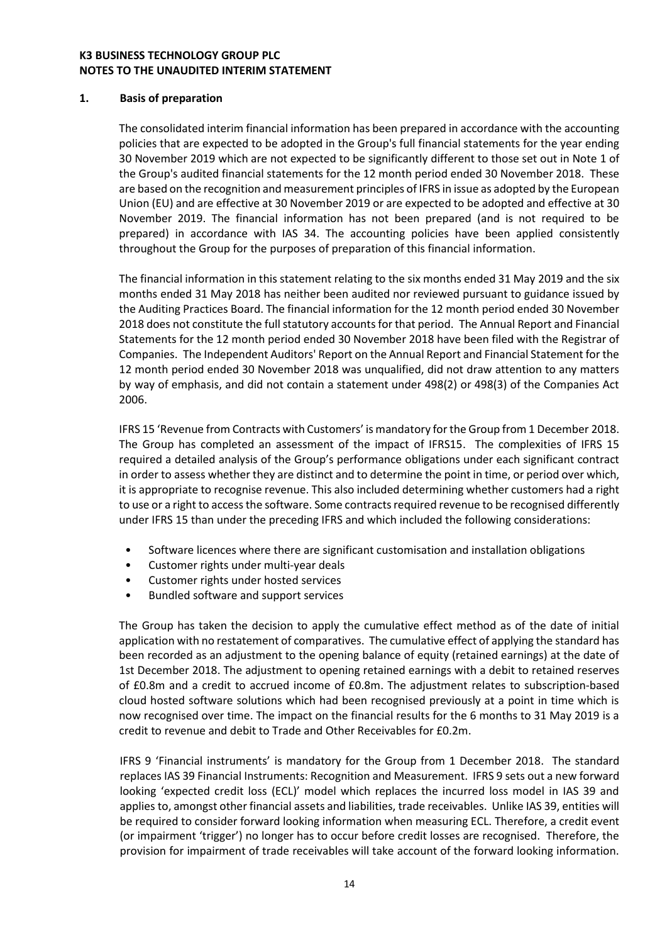### **K3 BUSINESS TECHNOLOGY GROUP PLC NOTES TO THE UNAUDITED INTERIM STATEMENT**

#### **1. Basis of preparation**

The consolidated interim financial information has been prepared in accordance with the accounting policies that are expected to be adopted in the Group's full financial statements for the year ending 30 November 2019 which are not expected to be significantly different to those set out in Note 1 of the Group's audited financial statements for the 12 month period ended 30 November 2018. These are based on the recognition and measurement principles of IFRS in issue as adopted by the European Union (EU) and are effective at 30 November 2019 or are expected to be adopted and effective at 30 November 2019. The financial information has not been prepared (and is not required to be prepared) in accordance with IAS 34. The accounting policies have been applied consistently throughout the Group for the purposes of preparation of this financial information.

The financial information in this statement relating to the six months ended 31 May 2019 and the six months ended 31 May 2018 has neither been audited nor reviewed pursuant to guidance issued by the Auditing Practices Board. The financial information for the 12 month period ended 30 November 2018 does not constitute the full statutory accounts for that period. The Annual Report and Financial Statements for the 12 month period ended 30 November 2018 have been filed with the Registrar of Companies. The Independent Auditors' Report on the Annual Report and Financial Statement for the 12 month period ended 30 November 2018 was unqualified, did not draw attention to any matters by way of emphasis, and did not contain a statement under 498(2) or 498(3) of the Companies Act 2006.

IFRS 15 'Revenue from Contracts with Customers' is mandatory for the Group from 1 December 2018. The Group has completed an assessment of the impact of IFRS15. The complexities of IFRS 15 required a detailed analysis of the Group's performance obligations under each significant contract in order to assess whether they are distinct and to determine the point in time, or period over which, it is appropriate to recognise revenue. This also included determining whether customers had a right to use or a right to access the software. Some contracts required revenue to be recognised differently under IFRS 15 than under the preceding IFRS and which included the following considerations:

- Software licences where there are significant customisation and installation obligations
- Customer rights under multi-year deals
- Customer rights under hosted services
- Bundled software and support services

The Group has taken the decision to apply the cumulative effect method as of the date of initial application with no restatement of comparatives. The cumulative effect of applying the standard has been recorded as an adjustment to the opening balance of equity (retained earnings) at the date of 1st December 2018. The adjustment to opening retained earnings with a debit to retained reserves of £0.8m and a credit to accrued income of £0.8m. The adjustment relates to subscription-based cloud hosted software solutions which had been recognised previously at a point in time which is now recognised over time. The impact on the financial results for the 6 months to 31 May 2019 is a credit to revenue and debit to Trade and Other Receivables for £0.2m.

IFRS 9 'Financial instruments' is mandatory for the Group from 1 December 2018. The standard replaces IAS 39 Financial Instruments: Recognition and Measurement. IFRS 9 sets out a new forward looking 'expected credit loss (ECL)' model which replaces the incurred loss model in IAS 39 and applies to, amongst other financial assets and liabilities, trade receivables. Unlike IAS 39, entities will be required to consider forward looking information when measuring ECL. Therefore, a credit event (or impairment 'trigger') no longer has to occur before credit losses are recognised. Therefore, the provision for impairment of trade receivables will take account of the forward looking information.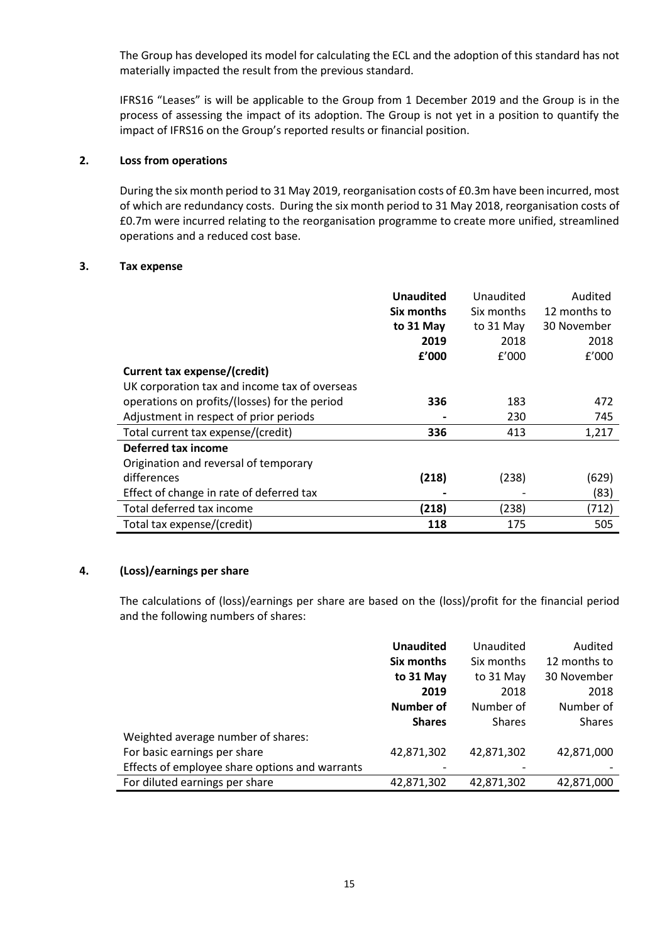The Group has developed its model for calculating the ECL and the adoption of this standard has not materially impacted the result from the previous standard.

IFRS16 "Leases" is will be applicable to the Group from 1 December 2019 and the Group is in the process of assessing the impact of its adoption. The Group is not yet in a position to quantify the impact of IFRS16 on the Group's reported results or financial position.

### **2. Loss from operations**

During the six month period to 31 May 2019, reorganisation costs of £0.3m have been incurred, most of which are redundancy costs. During the six month period to 31 May 2018, reorganisation costs of £0.7m were incurred relating to the reorganisation programme to create more unified, streamlined operations and a reduced cost base.

#### **3. Tax expense**

|                                               | <b>Unaudited</b> | Unaudited  | Audited      |
|-----------------------------------------------|------------------|------------|--------------|
|                                               | Six months       | Six months | 12 months to |
|                                               | to 31 May        | to 31 May  | 30 November  |
|                                               | 2019             | 2018       | 2018         |
|                                               | £'000            | f'000      | f'000        |
| Current tax expense/(credit)                  |                  |            |              |
| UK corporation tax and income tax of overseas |                  |            |              |
| operations on profits/(losses) for the period | 336              | 183        | 472          |
| Adjustment in respect of prior periods        |                  | 230        | 745          |
| Total current tax expense/(credit)            | 336              | 413        | 1,217        |
| Deferred tax income                           |                  |            |              |
| Origination and reversal of temporary         |                  |            |              |
| differences                                   | (218)            | (238)      | (629)        |
| Effect of change in rate of deferred tax      |                  |            | (83)         |
| Total deferred tax income                     | (218)            | (238)      | (712)        |
| Total tax expense/(credit)                    | 118              | 175        | 505          |

#### **4. (Loss)/earnings per share**

The calculations of (loss)/earnings per share are based on the (loss)/profit for the financial period and the following numbers of shares:

|                                                | <b>Unaudited</b> | Unaudited     | Audited       |
|------------------------------------------------|------------------|---------------|---------------|
|                                                | Six months       | Six months    | 12 months to  |
|                                                | to 31 May        | to 31 May     | 30 November   |
|                                                | 2019             | 2018          | 2018          |
|                                                | Number of        | Number of     | Number of     |
|                                                | <b>Shares</b>    | <b>Shares</b> | <b>Shares</b> |
| Weighted average number of shares:             |                  |               |               |
| For basic earnings per share                   | 42,871,302       | 42,871,302    | 42,871,000    |
| Effects of employee share options and warrants |                  |               |               |
| For diluted earnings per share                 | 42,871,302       | 42,871,302    | 42,871,000    |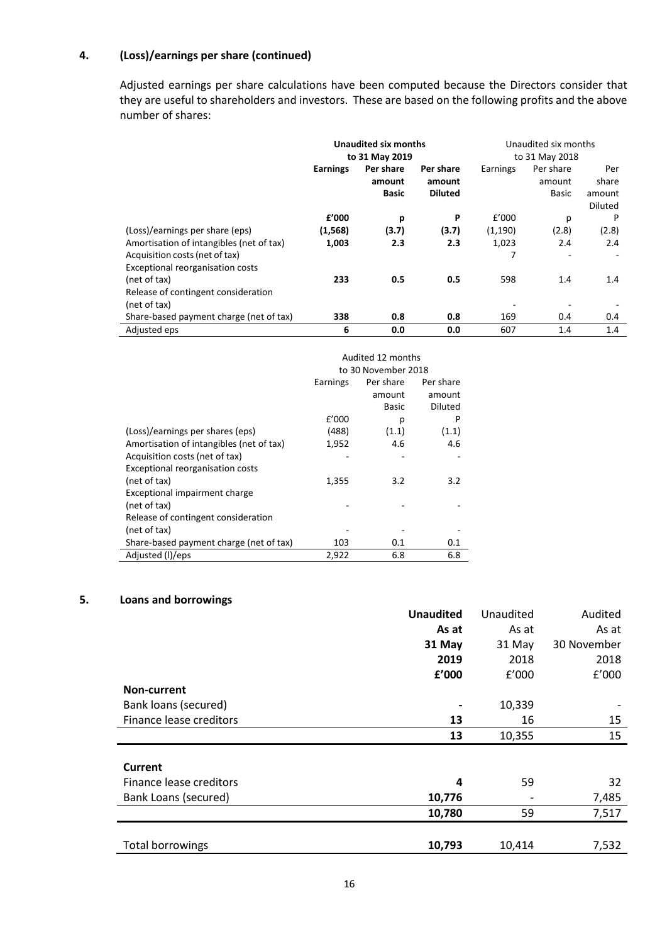# **4. (Loss)/earnings per share (continued)**

Adjusted earnings per share calculations have been computed because the Directors consider that they are useful to shareholders and investors. These are based on the following profits and the above number of shares:

|                                                                                                | Unaudited six months<br>to 31 May 2019 |                                     |                                       | Unaudited six months<br>to 31 May 2018 |                              |                                          |
|------------------------------------------------------------------------------------------------|----------------------------------------|-------------------------------------|---------------------------------------|----------------------------------------|------------------------------|------------------------------------------|
|                                                                                                | <b>Earnings</b>                        | Per share<br>amount<br><b>Basic</b> | Per share<br>amount<br><b>Diluted</b> | Earnings                               | Per share<br>amount<br>Basic | Per<br>share<br>amount<br><b>Diluted</b> |
| (Loss)/earnings per share (eps)<br>Amortisation of intangibles (net of tax)                    | £'000<br>(1, 568)<br>1,003             | p<br>(3.7)<br>2.3                   | P<br>(3.7)<br>2.3                     | f'000<br>(1,190)<br>1,023              | р<br>(2.8)<br>2.4            | P<br>(2.8)<br>2.4                        |
| Acquisition costs (net of tax)<br>Exceptional reorganisation costs<br>(net of tax)             | 233                                    | 0.5                                 | 0.5                                   | 7<br>598                               | ٠<br>1.4                     | 1.4                                      |
| Release of contingent consideration<br>(net of tax)<br>Share-based payment charge (net of tax) | 338                                    | 0.8                                 | 0.8                                   | 169                                    | 0.4                          | 0.4                                      |
| Adjusted eps                                                                                   | 6                                      | 0.0                                 | 0.0                                   | 607                                    | 1.4                          | 1.4                                      |

|                                          | Audited 12 months<br>to 30 November 2018 |           |                |  |
|------------------------------------------|------------------------------------------|-----------|----------------|--|
|                                          | Earnings                                 | Per share | Per share      |  |
|                                          |                                          | amount    | amount         |  |
|                                          |                                          | Basic     | <b>Diluted</b> |  |
|                                          | £'000                                    | р         | P              |  |
| (Loss)/earnings per shares (eps)         | (488)                                    | (1.1)     | (1.1)          |  |
| Amortisation of intangibles (net of tax) | 1,952                                    | 4.6       | 4.6            |  |
| Acquisition costs (net of tax)           |                                          |           |                |  |
| Exceptional reorganisation costs         |                                          |           |                |  |
| (net of tax)                             | 1,355                                    | 3.2       | 3.2            |  |
| Exceptional impairment charge            |                                          |           |                |  |
| (net of tax)                             |                                          |           |                |  |
| Release of contingent consideration      |                                          |           |                |  |
| (net of tax)                             |                                          |           |                |  |
| Share-based payment charge (net of tax)  | 103                                      | 0.1       | 0.1            |  |
| Adjusted (I)/eps                         | 2,922                                    | 6.8       | 6.8            |  |

# **5. Loans and borrowings**

|                         | <b>Unaudited</b> | Unaudited | Audited     |
|-------------------------|------------------|-----------|-------------|
|                         | As at            | As at     | As at       |
|                         | 31 May           | 31 May    | 30 November |
|                         | 2019             | 2018      | 2018        |
|                         | £'000            | f'000     | f'000       |
| Non-current             |                  |           |             |
| Bank loans (secured)    |                  | 10,339    |             |
| Finance lease creditors | 13               | 16        | 15          |
|                         | 13               | 10,355    | 15          |
|                         |                  |           |             |
| Current                 |                  |           |             |
| Finance lease creditors | 4                | 59        | 32          |
| Bank Loans (secured)    | 10,776           |           | 7,485       |
|                         | 10,780           | 59        | 7,517       |
|                         |                  |           |             |
| <b>Total borrowings</b> | 10,793           | 10,414    | 7,532       |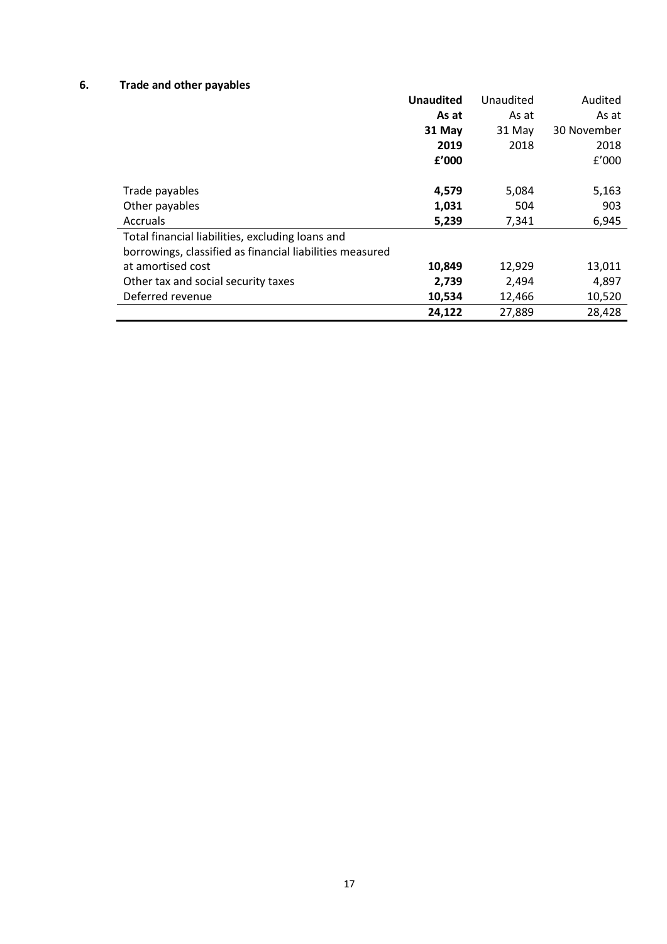# **6. Trade and other payables**

|                                                          | <b>Unaudited</b> | Unaudited | Audited     |
|----------------------------------------------------------|------------------|-----------|-------------|
|                                                          | As at            | As at     | As at       |
|                                                          | 31 May           | 31 May    | 30 November |
|                                                          | 2019             | 2018      | 2018        |
|                                                          | £'000            |           | f'000       |
|                                                          |                  |           |             |
| Trade payables                                           | 4,579            | 5,084     | 5,163       |
| Other payables                                           | 1,031            | 504       | 903         |
| Accruals                                                 | 5,239            | 7,341     | 6,945       |
| Total financial liabilities, excluding loans and         |                  |           |             |
| borrowings, classified as financial liabilities measured |                  |           |             |
| at amortised cost                                        | 10,849           | 12,929    | 13,011      |
| Other tax and social security taxes                      | 2,739            | 2,494     | 4,897       |
| Deferred revenue                                         | 10,534           | 12,466    | 10,520      |
|                                                          | 24,122           | 27,889    | 28,428      |